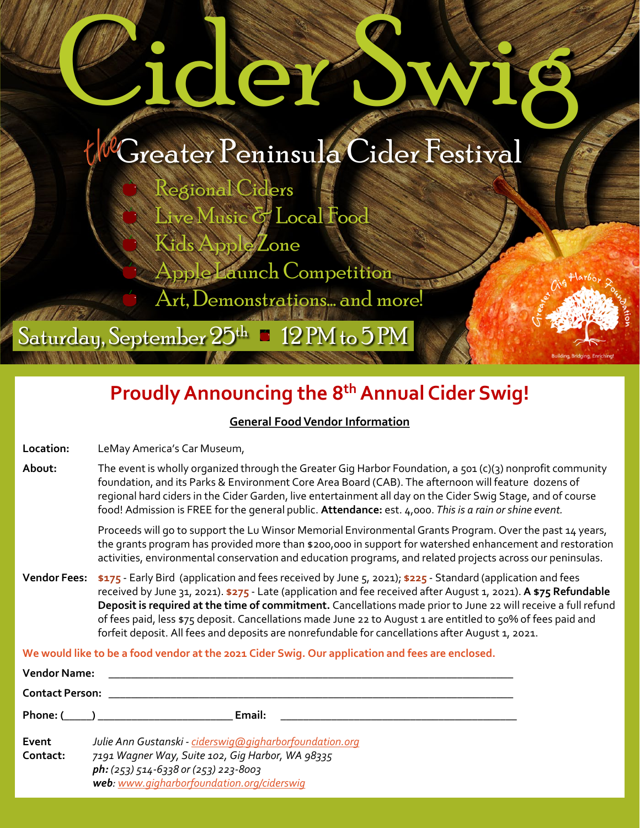# dier

# Greater Peninsula Cider Festival

Regional Ciders Live Music & Local Food Kids Apple Zone ble Launch Competition

Art, Demonstrations… and more!

Saturday, September  $25^{\rm th}$   $\blacksquare$  12 PM to 5 PM

# **Proudly Announcing the 8th Annual Cider Swig!**

#### **General Food Vendor Information**

**Location:** LeMay America's Car Museum,

**About:** The event is wholly organized through the Greater Gig Harbor Foundation, a 501 (c)(3) nonprofit community foundation, and its Parks & Environment Core Area Board (CAB). The afternoon will feature dozens of regional hard ciders in the Cider Garden, live entertainment all day on the Cider Swig Stage, and of course food! Admission is FREE for the general public. **Attendance:** est. 4,000. *This is a rain or shine event.* 

> Proceeds will go to support the Lu Winsor Memorial Environmental Grants Program. Over the past 14 years, the grants program has provided more than \$200,000 in support for watershed enhancement and restoration activities, environmental conservation and education programs, and related projects across our peninsulas.

**Vendor Fees: \$175** - Early Bird (application and fees received by June 5, 2021); **\$225** - Standard (application and fees received by June 31, 2021). **\$275** - Late (application and fee received after August 1, 2021). **A \$75 Refundable Deposit is required at the time of commitment.** Cancellations made prior to June 22 will receive a full refund of fees paid, less \$75 deposit. Cancellations made June 22 to August 1 are entitled to 50% of fees paid and forfeit deposit. All fees and deposits are nonrefundable for cancellations after August 1, 2021.

**We would like to be a food vendor at the 2021 Cider Swig. Our application and fees are enclosed.**

| <b>Vendor Name:</b>    |                                                                                                                                                                                                   |
|------------------------|---------------------------------------------------------------------------------------------------------------------------------------------------------------------------------------------------|
| <b>Contact Person:</b> |                                                                                                                                                                                                   |
| Phone: (          )    | Email:                                                                                                                                                                                            |
| Event<br>Contact:      | Julie Ann Gustanski - ciderswig@gigharborfoundation.org<br>7191 Wagner Way, Suite 102, Gig Harbor, WA 98335<br>ph: (253) 514-6338 or (253) 223-8003<br>web: www.gigharborfoundation.org/ciderswig |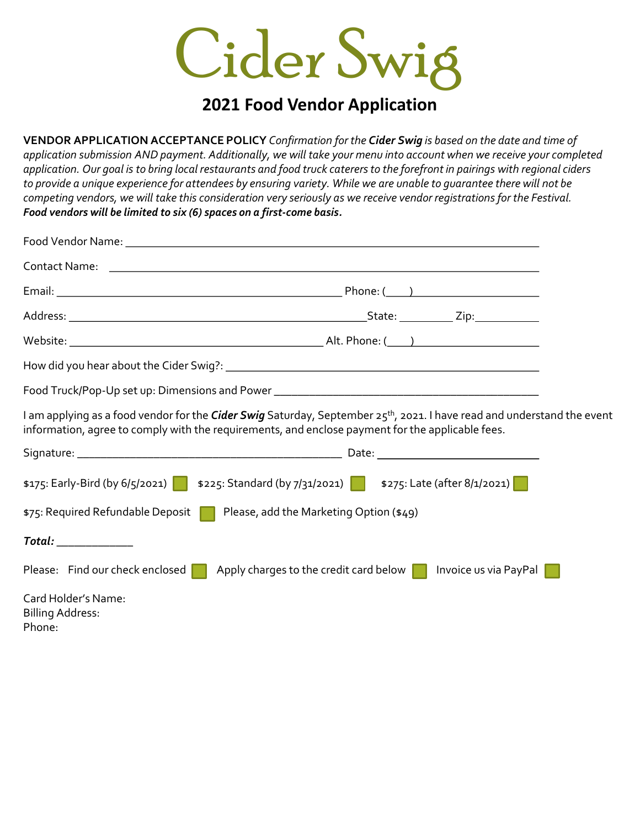

### **2021 Food Vendor Application**

**VENDOR APPLICATION ACCEPTANCE POLICY** *Confirmation for the Cider Swig is based on the date and time of application submission AND payment. Additionally, we will take your menu into account when we receive your completed application. Our goal is to bring local restaurants and food truck caterers to the forefront in pairings with regional ciders to provide a unique experience for attendees by ensuring variety. While we are unable to guarantee there will not be competing vendors, we will take this consideration very seriously as we receive vendor registrations for the Festival. Food vendors will be limited to six (6) spaces on a first-come basis.*

|                                                | I am applying as a food vendor for the Cider Swig Saturday, September 25 <sup>th</sup> , 2021. I have read and understand the event<br>information, agree to comply with the requirements, and enclose payment for the applicable fees. |  |
|------------------------------------------------|-----------------------------------------------------------------------------------------------------------------------------------------------------------------------------------------------------------------------------------------|--|
|                                                |                                                                                                                                                                                                                                         |  |
|                                                | \$175: Early-Bird (by 6/5/2021)   \$225: Standard (by 7/31/2021)   \$275: Late (after 8/1/2021)                                                                                                                                         |  |
|                                                | \$75: Required Refundable Deposit   Please, add the Marketing Option (\$49)                                                                                                                                                             |  |
| Total: ____________                            |                                                                                                                                                                                                                                         |  |
|                                                | Please: Find our check enclosed $\Box$ Apply charges to the credit card below $\Box$ Invoice us via PayPal                                                                                                                              |  |
| Card Holder's Name:<br><b>Billing Address:</b> |                                                                                                                                                                                                                                         |  |

Phone: